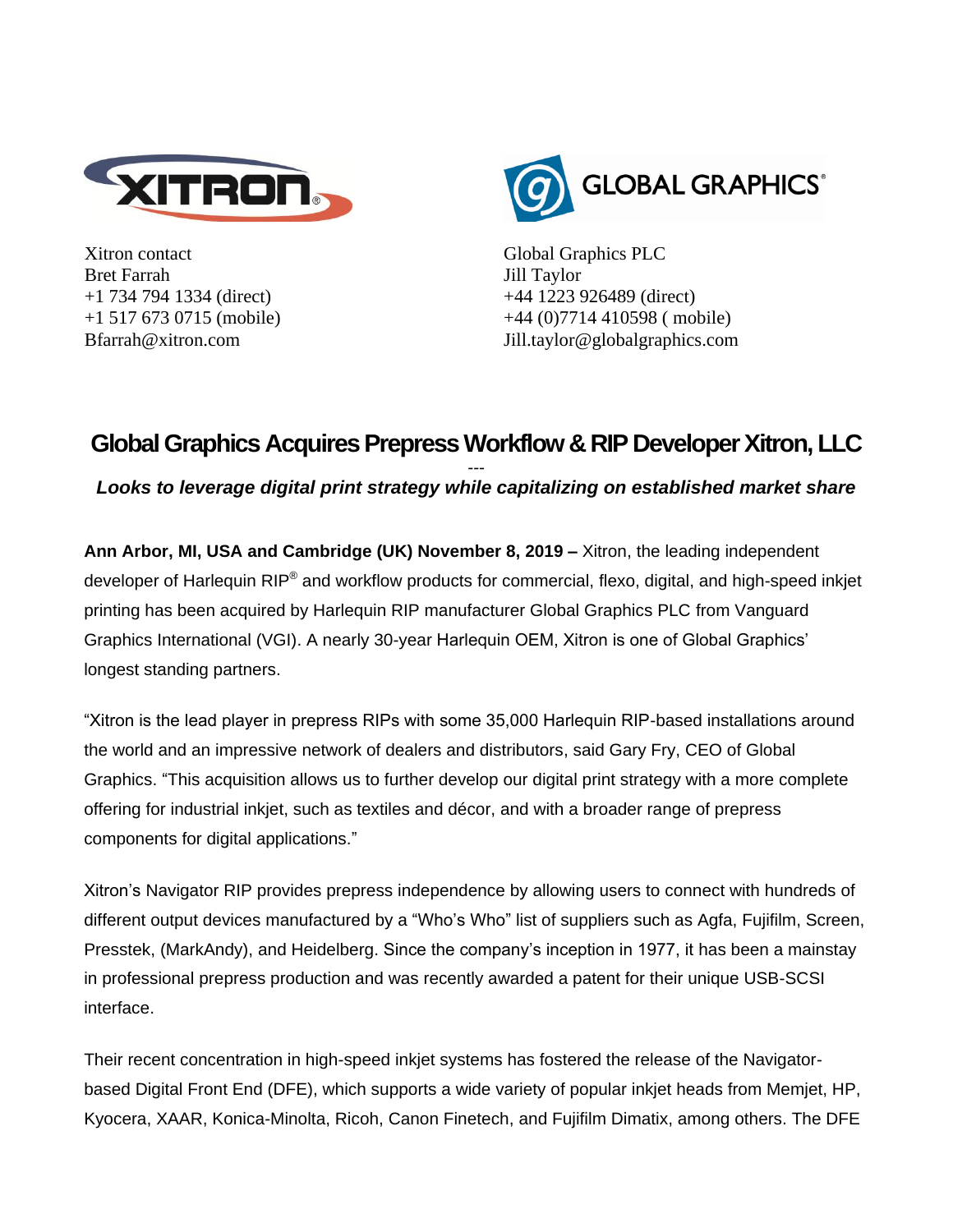

Xitron contact Bret Farrah +1 734 794 1334 (direct) +1 517 673 0715 (mobile) Bfarrah@xitron.com



Global Graphics PLC Jill Taylor +44 1223 926489 (direct) +44 (0)7714 410598 ( mobile) Jill.taylor@globalgraphics.com

## **Global Graphics Acquires Prepress Workflow & RIP Developer Xitron, LLC**

*--- Looks to leverage digital print strategy while capitalizing on established market share*

**Ann Arbor, MI, USA and Cambridge (UK) November 8, 2019 –** Xitron, the leading independent developer of Harlequin RIP® and workflow products for commercial, flexo, digital, and high-speed inkjet printing has been acquired by Harlequin RIP manufacturer Global Graphics PLC from Vanguard Graphics International (VGI). A nearly 30-year Harlequin OEM, Xitron is one of Global Graphics' longest standing partners.

"Xitron is the lead player in prepress RIPs with some 35,000 Harlequin RIP-based installations around the world and an impressive network of dealers and distributors, said Gary Fry, CEO of Global Graphics. "This acquisition allows us to further develop our digital print strategy with a more complete offering for industrial inkjet, such as textiles and décor, and with a broader range of prepress components for digital applications."

Xitron's Navigator RIP provides prepress independence by allowing users to connect with hundreds of different output devices manufactured by a "Who's Who" list of suppliers such as Agfa, Fujifilm, Screen, Presstek, (MarkAndy), and Heidelberg. Since the company's inception in 1977, it has been a mainstay in professional prepress production and was recently awarded a patent for their unique USB-SCSI interface.

Their recent concentration in high-speed inkjet systems has fostered the release of the Navigatorbased Digital Front End (DFE), which supports a wide variety of popular inkjet heads from Memjet, HP, Kyocera, XAAR, Konica-Minolta, Ricoh, Canon Finetech, and Fujifilm Dimatix, among others. The DFE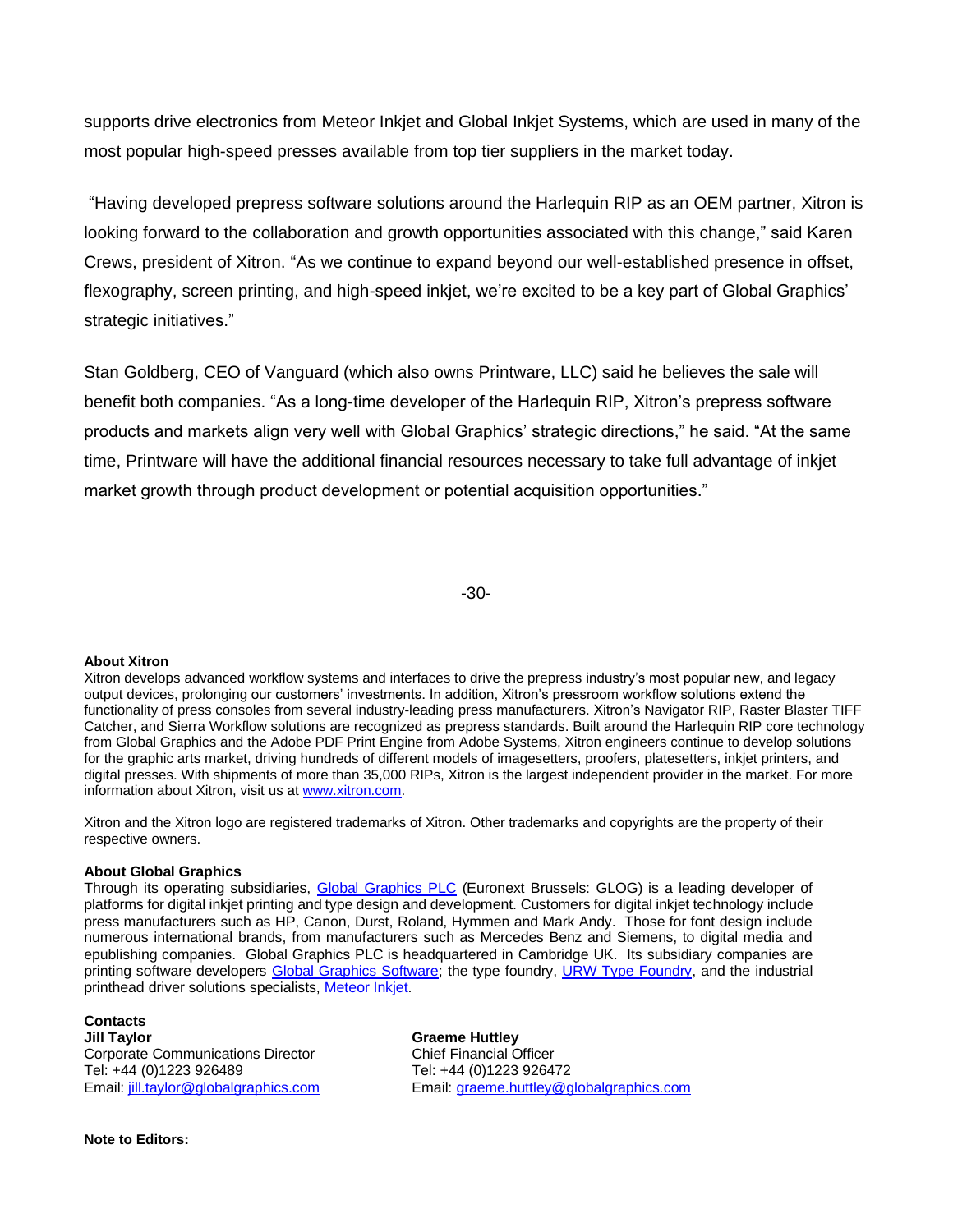supports drive electronics from Meteor Inkjet and Global Inkjet Systems, which are used in many of the most popular high-speed presses available from top tier suppliers in the market today.

"Having developed prepress software solutions around the Harlequin RIP as an OEM partner, Xitron is looking forward to the collaboration and growth opportunities associated with this change," said Karen Crews, president of Xitron. "As we continue to expand beyond our well-established presence in offset, flexography, screen printing, and high-speed inkjet, we're excited to be a key part of Global Graphics' strategic initiatives."

Stan Goldberg, CEO of Vanguard (which also owns Printware, LLC) said he believes the sale will benefit both companies. "As a long-time developer of the Harlequin RIP, Xitron's prepress software products and markets align very well with Global Graphics' strategic directions," he said. "At the same time, Printware will have the additional financial resources necessary to take full advantage of inkjet market growth through product development or potential acquisition opportunities."

-30-

## **About Xitron**

Xitron develops advanced workflow systems and interfaces to drive the prepress industry's most popular new, and legacy output devices, prolonging our customers' investments. In addition, Xitron's pressroom workflow solutions extend the functionality of press consoles from several industry-leading press manufacturers. Xitron's Navigator RIP, Raster Blaster TIFF Catcher, and Sierra Workflow solutions are recognized as prepress standards. Built around the Harlequin RIP core technology from Global Graphics and the Adobe PDF Print Engine from Adobe Systems, Xitron engineers continue to develop solutions for the graphic arts market, driving hundreds of different models of imagesetters, proofers, platesetters, inkjet printers, and digital presses. With shipments of more than 35,000 RIPs, Xitron is the largest independent provider in the market. For more information about Xitron, visit us a[t www.xitron.com.](http://www.xitron.com/)

Xitron and the Xitron logo are registered trademarks of Xitron. Other trademarks and copyrights are the property of their respective owners.

## **About Global Graphics**

Through its operating subsidiaries, Global Graphics PLC (Euronext Brussels: GLOG) is a leading developer of platforms for digital inkjet printing and type design and development. Customers for digital inkjet technology include press manufacturers such as HP, Canon, Durst, Roland, Hymmen and Mark Andy. Those for font design include numerous international brands, from manufacturers such as Mercedes Benz and Siemens, to digital media and epublishing companies. Global Graphics PLC is headquartered in Cambridge UK. Its subsidiary companies are printing software developers Global Graphics Software; the type foundry, URW Type Foundry, and the industrial printhead driver solutions specialists, Meteor Inkjet.

## **Contacts**

**Jill Taylor Graeme Huttley** Corporate Communications Director Chief Financial Officer Tel: +44 (0)1223 926489 Tel: +44 (0)1223 926472<br>Email: iill.taylor@globalgraphics.com Email: graeme.huttley@g

Email: graeme.huttley@globalgraphics.com